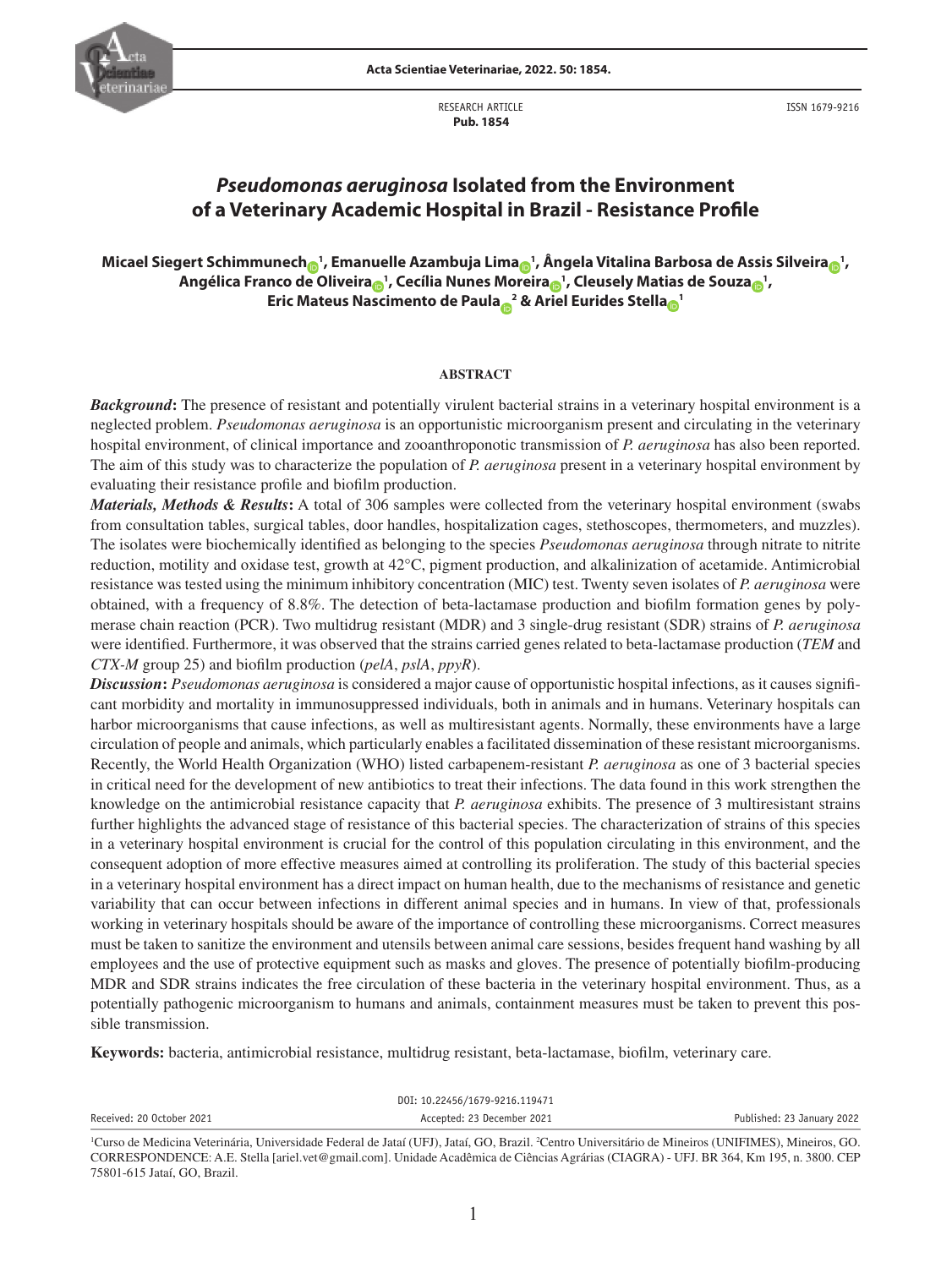RESEARCH ARTICLE  **Pub. 1854**

ISSN 1679-9216

# *Pseudomonas aeruginosa* **Isolated from the Environment of a Veterinary Academic Hospital in Brazil - Resistance Profile**

# **Micael Siegert Schimmunec[h](http://orcid.org/0000-0001-8610-8052) <sup>1</sup> , Emanuelle Azambuja Lim[a](http://orcid.org/0000-0003-4896-2711) <sup>1</sup> , Ângela Vitalina Barbosa de Assis Silveir[a](http://orcid.org/0000-0001-5400-1197) <sup>1</sup> , Angélica Franco de Oliveir[a](http://orcid.org/0000-0002-7636-1457) <sup>1</sup> , Cecília Nunes Moreir[a](http://orcid.org/0000-0001-7629-3290) <sup>1</sup> , Cleusely Matias de Souz[a](http://orcid.org/0000-0002-6238-456X) <sup>1</sup> , Eric Mateus Nascimento de Paul[a](http://orcid.org/0000-0002-5948-1860) <sup>2</sup> & Ariel Eurides Stell[a](http://orcid.org/0000-0002-0435-4901) <sup>1</sup>**

# **ABSTRACT**

*Background***:** The presence of resistant and potentially virulent bacterial strains in a veterinary hospital environment is a neglected problem. *Pseudomonas aeruginosa* is an opportunistic microorganism present and circulating in the veterinary hospital environment, of clinical importance and zooanthroponotic transmission of *P. aeruginosa* has also been reported. The aim of this study was to characterize the population of *P. aeruginosa* present in a veterinary hospital environment by evaluating their resistance profile and biofilm production.

*Materials, Methods & Results***:** A total of 306 samples were collected from the veterinary hospital environment (swabs from consultation tables, surgical tables, door handles, hospitalization cages, stethoscopes, thermometers, and muzzles). The isolates were biochemically identified as belonging to the species *Pseudomonas aeruginosa* through nitrate to nitrite reduction, motility and oxidase test, growth at 42°C, pigment production, and alkalinization of acetamide. Antimicrobial resistance was tested using the minimum inhibitory concentration (MIC) test. Twenty seven isolates of *P. aeruginosa* were obtained, with a frequency of 8.8%. The detection of beta-lactamase production and biofilm formation genes by polymerase chain reaction (PCR). Two multidrug resistant (MDR) and 3 single-drug resistant (SDR) strains of *P. aeruginosa*  were identified. Furthermore, it was observed that the strains carried genes related to beta-lactamase production (*TEM* and *CTX-M* group 25) and biofilm production (*pelA*, *pslA*, *ppyR*).

*Discussion***:** *Pseudomonas aeruginosa* is considered a major cause of opportunistic hospital infections, as it causes significant morbidity and mortality in immunosuppressed individuals, both in animals and in humans. Veterinary hospitals can harbor microorganisms that cause infections, as well as multiresistant agents. Normally, these environments have a large circulation of people and animals, which particularly enables a facilitated dissemination of these resistant microorganisms. Recently, the World Health Organization (WHO) listed carbapenem-resistant *P. aeruginosa* as one of 3 bacterial species in critical need for the development of new antibiotics to treat their infections. The data found in this work strengthen the knowledge on the antimicrobial resistance capacity that *P. aeruginosa* exhibits. The presence of 3 multiresistant strains further highlights the advanced stage of resistance of this bacterial species. The characterization of strains of this species in a veterinary hospital environment is crucial for the control of this population circulating in this environment, and the consequent adoption of more effective measures aimed at controlling its proliferation. The study of this bacterial species in a veterinary hospital environment has a direct impact on human health, due to the mechanisms of resistance and genetic variability that can occur between infections in different animal species and in humans. In view of that, professionals working in veterinary hospitals should be aware of the importance of controlling these microorganisms. Correct measures must be taken to sanitize the environment and utensils between animal care sessions, besides frequent hand washing by all employees and the use of protective equipment such as masks and gloves. The presence of potentially biofilm-producing MDR and SDR strains indicates the free circulation of these bacteria in the veterinary hospital environment. Thus, as a potentially pathogenic microorganism to humans and animals, containment measures must be taken to prevent this possible transmission.

**Keywords:** bacteria, antimicrobial resistance, multidrug resistant, beta-lactamase, biofilm, veterinary care.

|                           | DOI: 10.22456/1679-9216.119471 |                            |
|---------------------------|--------------------------------|----------------------------|
| Received: 20 October 2021 | Accepted: 23 December 2021     | Published: 23 January 2022 |
|                           |                                |                            |

<sup>1</sup> Curso de Medicina Veterinária, Universidade Federal de Jataí (UFJ), Jataí, GO, Brazil. 2 Centro Universitário de Mineiros (UNIFIMES), Mineiros, GO. CORRESPONDENCE: A.E. Stella [ariel.vet@gmail.com]. Unidade Acadêmica de Ciências Agrárias (CIAGRA) - UFJ. BR 364, Km 195, n. 3800. CEP 75801-615 Jataí, GO, Brazil.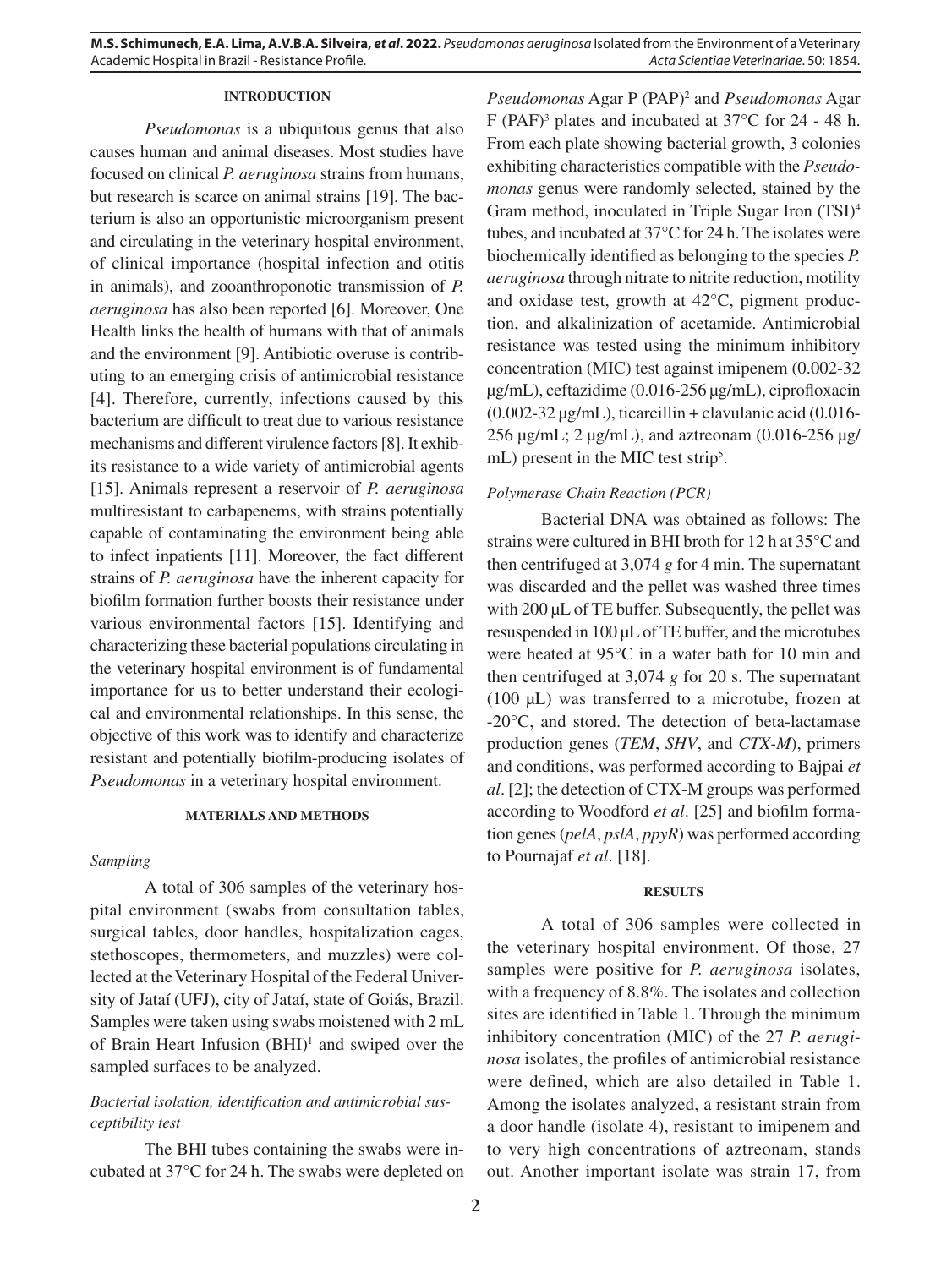## **INTRODUCTION**

*Pseudomonas* is a ubiquitous genus that also causes human and animal diseases. Most studies have focused on clinical *P. aeruginosa* strains from humans, but research is scarce on animal strains [19]. The bacterium is also an opportunistic microorganism present and circulating in the veterinary hospital environment, of clinical importance (hospital infection and otitis in animals), and zooanthroponotic transmission of *P. aeruginosa* has also been reported [6]. Moreover, One Health links the health of humans with that of animals and the environment [9]. Antibiotic overuse is contributing to an emerging crisis of antimicrobial resistance [4]. Therefore, currently, infections caused by this bacterium are difficult to treat due to various resistance mechanisms and different virulence factors [8]. It exhibits resistance to a wide variety of antimicrobial agents [15]. Animals represent a reservoir of *P. aeruginosa*  multiresistant to carbapenems, with strains potentially capable of contaminating the environment being able to infect inpatients [11]. Moreover, the fact different strains of *P. aeruginosa* have the inherent capacity for biofilm formation further boosts their resistance under various environmental factors [15]. Identifying and characterizing these bacterial populations circulating in the veterinary hospital environment is of fundamental importance for us to better understand their ecological and environmental relationships. In this sense, the objective of this work was to identify and characterize resistant and potentially biofilm-producing isolates of *Pseudomonas* in a veterinary hospital environment.

## **MATERIALS AND METHODS**

### *Sampling*

A total of 306 samples of the veterinary hospital environment (swabs from consultation tables, surgical tables, door handles, hospitalization cages, stethoscopes, thermometers, and muzzles) were collected at the Veterinary Hospital of the Federal University of Jataí (UFJ), city of Jataí, state of Goiás, Brazil. Samples were taken using swabs moistened with 2 mL of Brain Heart Infusion (BHI)<sup>1</sup> and swiped over the sampled surfaces to be analyzed.

# *Bacterial isolation, identification and antimicrobial susceptibility test*

The BHI tubes containing the swabs were incubated at 37°C for 24 h. The swabs were depleted on

*Pseudomonas* Agar P (PAP)2 and *Pseudomonas* Agar F (PAF)<sup>3</sup> plates and incubated at 37°C for 24 - 48 h. From each plate showing bacterial growth, 3 colonies exhibiting characteristics compatible with the *Pseudomonas* genus were randomly selected, stained by the Gram method, inoculated in Triple Sugar Iron (TSI)4 tubes, and incubated at 37°C for 24 h. The isolates were biochemically identified as belonging to the species *P. aeruginosa* through nitrate to nitrite reduction, motility and oxidase test, growth at 42°C, pigment production, and alkalinization of acetamide. Antimicrobial resistance was tested using the minimum inhibitory concentration (MIC) test against imipenem (0.002-32 µg/mL), ceftazidime (0.016-256 µg/mL), ciprofloxacin  $(0.002-32 \,\mu\text{g/mL})$ , ticarcillin + clavulanic acid  $(0.016-$ 256  $\mu$ g/mL; 2  $\mu$ g/mL), and aztreonam (0.016-256  $\mu$ g/ mL) present in the MIC test strip<sup>5</sup>.

# *Polymerase Chain Reaction (PCR)*

Bacterial DNA was obtained as follows: The strains were cultured in BHI broth for 12 h at 35°C and then centrifuged at 3,074 *g* for 4 min. The supernatant was discarded and the pellet was washed three times with 200 µL of TE buffer. Subsequently, the pellet was resuspended in 100 µL of TE buffer, and the microtubes were heated at 95°C in a water bath for 10 min and then centrifuged at 3,074 *g* for 20 s. The supernatant (100 µL) was transferred to a microtube, frozen at -20°C, and stored. The detection of beta-lactamase production genes (*TEM*, *SHV*, and *CTX-M*), primers and conditions, was performed according to Bajpai *et al*. [2]; the detection of CTX-M groups was performed according to Woodford *et al*. [25] and biofilm formation genes (*pelA*, *pslA*, *ppyR*) was performed according to Pournajaf *et al*. [18].

### **RESULTS**

A total of 306 samples were collected in the veterinary hospital environment. Of those, 27 samples were positive for *P. aeruginosa* isolates, with a frequency of 8.8%. The isolates and collection sites are identified in Table 1. Through the minimum inhibitory concentration (MIC) of the 27 *P. aeruginosa* isolates, the profiles of antimicrobial resistance were defined, which are also detailed in Table 1. Among the isolates analyzed, a resistant strain from a door handle (isolate 4), resistant to imipenem and to very high concentrations of aztreonam, stands out. Another important isolate was strain 17, from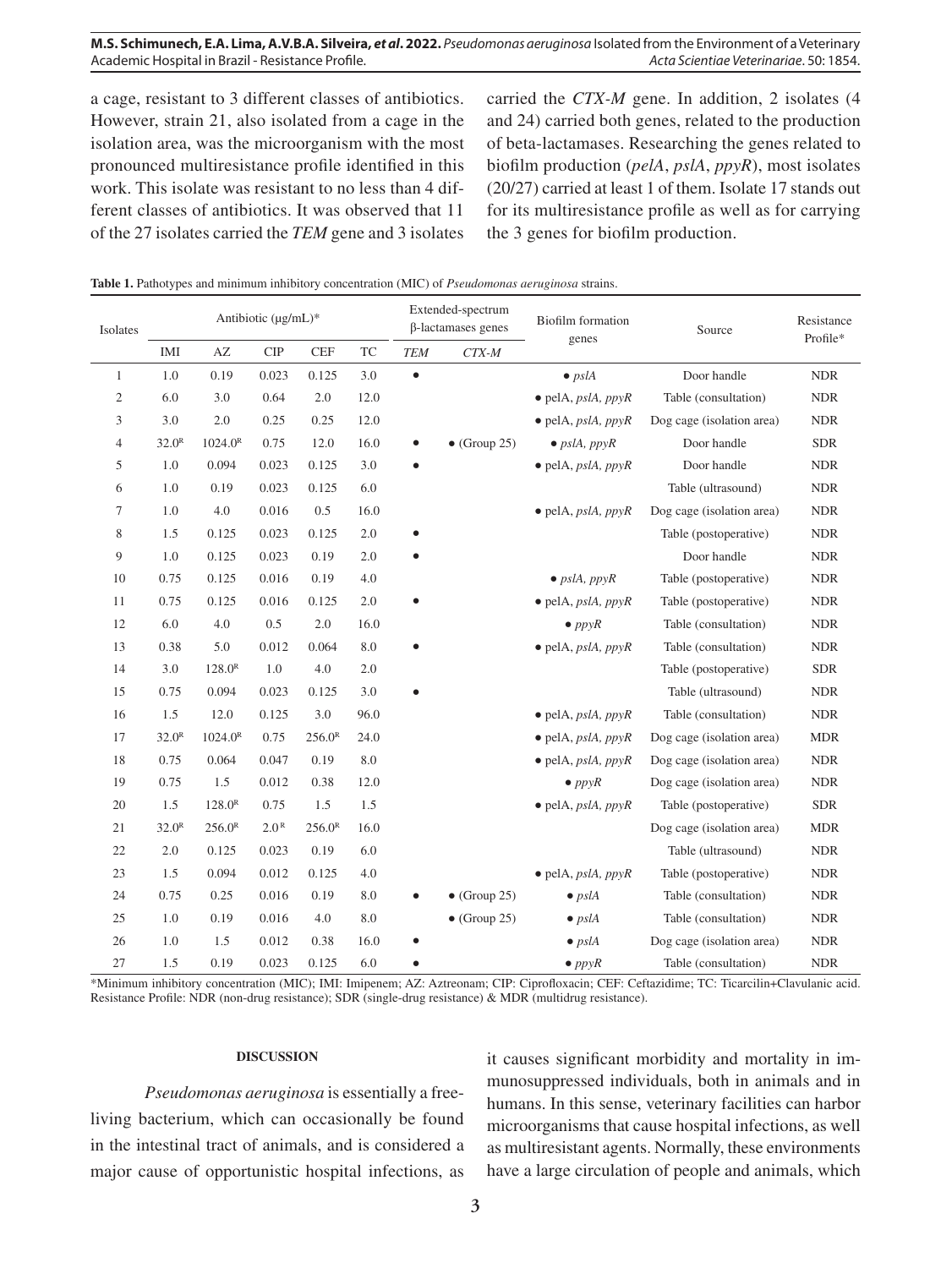# **M.S. Schimunech, E.A. Lima, A.V.B.A. Silveira,** *et al***. 2022.** *Pseudomonas aeruginosa* Isolated from the Environment of a Veterinary Academic Hospital in Brazil - Resistance Profile. *Acta Scientiae Veterinariae*. 50: 1854.

a cage, resistant to 3 different classes of antibiotics. However, strain 21, also isolated from a cage in the isolation area, was the microorganism with the most pronounced multiresistance profile identified in this work. This isolate was resistant to no less than 4 different classes of antibiotics. It was observed that 11 of the 27 isolates carried the *TEM* gene and 3 isolates carried the *CTX-M* gene. In addition, 2 isolates (4 and 24) carried both genes, related to the production of beta-lactamases. Researching the genes related to biofilm production (*pelA*, *pslA*, *ppyR*), most isolates (20/27) carried at least 1 of them. Isolate 17 stands out for its multiresistance profile as well as for carrying the 3 genes for biofilm production.

| Isolates        | Antibiotic (µg/mL)* |                        |                  |                             |      | Extended-spectrum<br>β-lactamases genes |                      | <b>Biofilm</b> formation                  | Source                    | Resistance                  |
|-----------------|---------------------|------------------------|------------------|-----------------------------|------|-----------------------------------------|----------------------|-------------------------------------------|---------------------------|-----------------------------|
|                 | IMI                 | $\mathbf{A}\mathbf{Z}$ | $\cal CIP$       | $\ensuremath{\mathsf{CEF}}$ | TC   | <b>TEM</b>                              | $CTX-M$              | genes                                     |                           | Profile*                    |
| $\mathbf{1}$    | 1.0                 | 0.19                   | 0.023            | 0.125                       | 3.0  | $\bullet$                               |                      | $\bullet$ pslA                            | Door handle               | <b>NDR</b>                  |
| 2               | 6.0                 | 3.0                    | 0.64             | 2.0                         | 12.0 |                                         |                      | $\bullet$ pelA, <i>pslA</i> , <i>ppyR</i> | Table (consultation)      | <b>NDR</b>                  |
| 3               | 3.0                 | 2.0                    | 0.25             | 0.25                        | 12.0 |                                         |                      | $\bullet$ pelA, <i>pslA</i> , <i>ppyR</i> | Dog cage (isolation area) | <b>NDR</b>                  |
| $\overline{4}$  | 32.0 <sup>R</sup>   | 1024.0 <sup>R</sup>    | 0.75             | 12.0                        | 16.0 | $\bullet$                               | $\bullet$ (Group 25) | $\bullet$ pslA, ppyR                      | Door handle               | ${\tt SDR}$                 |
| 5               | 1.0                 | 0.094                  | 0.023            | 0.125                       | 3.0  | $\bullet$                               |                      | $\bullet$ pelA, pslA, ppyR                | Door handle               | <b>NDR</b>                  |
| 6               | 1.0                 | 0.19                   | 0.023            | 0.125                       | 6.0  |                                         |                      |                                           | Table (ultrasound)        | <b>NDR</b>                  |
| $7\phantom{.0}$ | 1.0                 | $4.0\,$                | 0.016            | 0.5                         | 16.0 |                                         |                      | $\bullet$ pelA, <i>pslA</i> , <i>ppyR</i> | Dog cage (isolation area) | $\ensuremath{\mathrm{NDR}}$ |
| 8               | 1.5                 | 0.125                  | 0.023            | 0.125                       | 2.0  |                                         |                      |                                           | Table (postoperative)     | <b>NDR</b>                  |
| 9               | 1.0                 | 0.125                  | 0.023            | 0.19                        | 2.0  |                                         |                      |                                           | Door handle               | $\ensuremath{\mathrm{NDR}}$ |
| 10              | 0.75                | 0.125                  | 0.016            | 0.19                        | 4.0  |                                         |                      | $\bullet$ pslA, ppyR                      | Table (postoperative)     | $\ensuremath{\mathsf{NDR}}$ |
| 11              | 0.75                | 0.125                  | 0.016            | 0.125                       | 2.0  | $\bullet$                               |                      | $\bullet$ pelA, <i>pslA</i> , <i>ppyR</i> | Table (postoperative)     | <b>NDR</b>                  |
| 12              | 6.0                 | 4.0                    | 0.5              | 2.0                         | 16.0 |                                         |                      | $\bullet$ ppyR                            | Table (consultation)      | <b>NDR</b>                  |
| 13              | 0.38                | 5.0                    | 0.012            | 0.064                       | 8.0  | $\bullet$                               |                      | $\bullet$ pelA, pslA, ppyR                | Table (consultation)      | <b>NDR</b>                  |
| 14              | 3.0                 | $128.0^{R}$            | 1.0              | 4.0                         | 2.0  |                                         |                      |                                           | Table (postoperative)     | <b>SDR</b>                  |
| 15              | 0.75                | 0.094                  | 0.023            | 0.125                       | 3.0  | $\bullet$                               |                      |                                           | Table (ultrasound)        | <b>NDR</b>                  |
| 16              | 1.5                 | 12.0                   | 0.125            | 3.0                         | 96.0 |                                         |                      | $\bullet$ pelA, pslA, ppyR                | Table (consultation)      | <b>NDR</b>                  |
| 17              | 32.0 <sup>R</sup>   | $1024.0^R$             | 0.75             | 256.0 <sup>R</sup>          | 24.0 |                                         |                      | $\bullet$ pelA, <i>pslA</i> , <i>ppyR</i> | Dog cage (isolation area) | <b>MDR</b>                  |
| 18              | 0.75                | 0.064                  | 0.047            | 0.19                        | 8.0  |                                         |                      | $\bullet$ pelA, pslA, ppyR                | Dog cage (isolation area) | <b>NDR</b>                  |
| 19              | 0.75                | 1.5                    | 0.012            | 0.38                        | 12.0 |                                         |                      | $\bullet$ ppyR                            | Dog cage (isolation area) | $\ensuremath{\mathrm{NDR}}$ |
| 20              | 1.5                 | $128.0^{R}$            | 0.75             | 1.5                         | 1.5  |                                         |                      | $\bullet$ pelA, pslA, ppyR                | Table (postoperative)     | <b>SDR</b>                  |
| 21              | 32.0 <sup>R</sup>   | 256.0 <sup>R</sup>     | 2.0 <sup>R</sup> | 256.0 <sup>R</sup>          | 16.0 |                                         |                      |                                           | Dog cage (isolation area) | <b>MDR</b>                  |
| 22              | 2.0                 | 0.125                  | 0.023            | 0.19                        | 6.0  |                                         |                      |                                           | Table (ultrasound)        | $\ensuremath{\mathrm{NDR}}$ |
| 23              | 1.5                 | 0.094                  | 0.012            | 0.125                       | 4.0  |                                         |                      | $\bullet$ pelA, <i>pslA</i> , <i>ppyR</i> | Table (postoperative)     | <b>NDR</b>                  |
| 24              | 0.75                | 0.25                   | 0.016            | 0.19                        | 8.0  | $\bullet$                               | $\bullet$ (Group 25) | $\bullet$ pslA                            | Table (consultation)      | <b>NDR</b>                  |
| 25              | 1.0                 | 0.19                   | 0.016            | 4.0                         | 8.0  |                                         | $\bullet$ (Group 25) | $\bullet$ pslA                            | Table (consultation)      | $\ensuremath{\mathrm{NDR}}$ |
| 26              | 1.0                 | 1.5                    | 0.012            | 0.38                        | 16.0 |                                         |                      | $\bullet$ pslA                            | Dog cage (isolation area) | <b>NDR</b>                  |
| 27              | 1.5                 | 0.19                   | 0.023            | 0.125                       | 6.0  |                                         |                      | $\bullet$ ppyR                            | Table (consultation)      | <b>NDR</b>                  |

**Table 1.** Pathotypes and minimum inhibitory concentration (MIC) of *Pseudomonas aeruginosa* strains.

\*Minimum inhibitory concentration (MIC); IMI: Imipenem; AZ: Aztreonam; CIP: Ciprofloxacin; CEF: Ceftazidime; TC: Ticarcilin+Clavulanic acid. Resistance Profile: NDR (non-drug resistance); SDR (single-drug resistance) & MDR (multidrug resistance).

#### **DISCUSSION**

*Pseudomonas aeruginosa* is essentially a freeliving bacterium, which can occasionally be found in the intestinal tract of animals, and is considered a major cause of opportunistic hospital infections, as it causes significant morbidity and mortality in immunosuppressed individuals, both in animals and in humans. In this sense, veterinary facilities can harbor microorganisms that cause hospital infections, as well as multiresistant agents. Normally, these environments have a large circulation of people and animals, which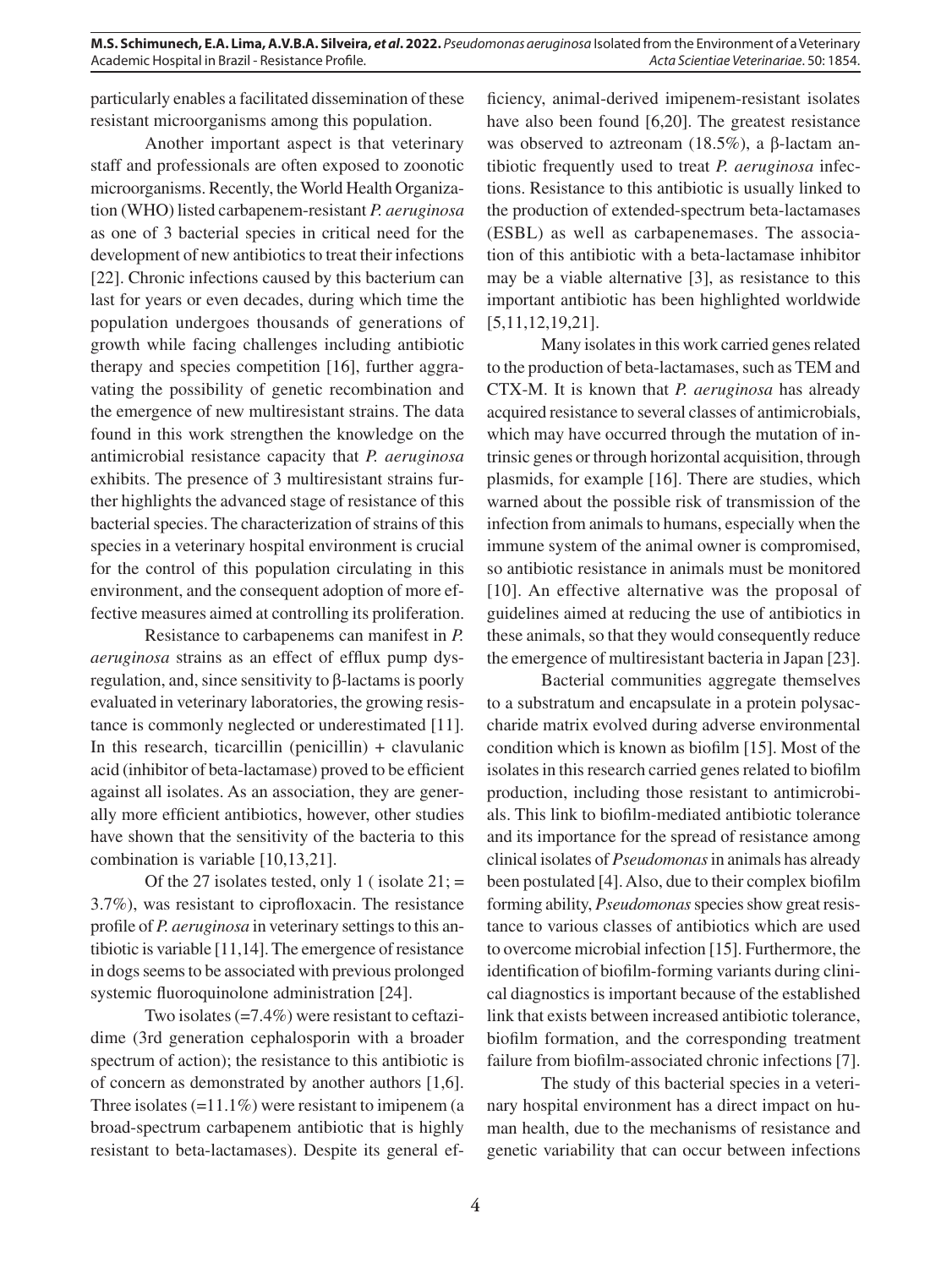particularly enables a facilitated dissemination of these resistant microorganisms among this population.

Another important aspect is that veterinary staff and professionals are often exposed to zoonotic microorganisms. Recently, the World Health Organization (WHO) listed carbapenem-resistant *P. aeruginosa*  as one of 3 bacterial species in critical need for the development of new antibiotics to treat their infections [22]. Chronic infections caused by this bacterium can last for years or even decades, during which time the population undergoes thousands of generations of growth while facing challenges including antibiotic therapy and species competition [16], further aggravating the possibility of genetic recombination and the emergence of new multiresistant strains. The data found in this work strengthen the knowledge on the antimicrobial resistance capacity that *P. aeruginosa*  exhibits. The presence of 3 multiresistant strains further highlights the advanced stage of resistance of this bacterial species. The characterization of strains of this species in a veterinary hospital environment is crucial for the control of this population circulating in this environment, and the consequent adoption of more effective measures aimed at controlling its proliferation.

Resistance to carbapenems can manifest in *P. aeruginosa* strains as an effect of efflux pump dysregulation, and, since sensitivity to β-lactams is poorly evaluated in veterinary laboratories, the growing resistance is commonly neglected or underestimated [11]. In this research, ticarcillin (penicillin) + clavulanic acid (inhibitor of beta-lactamase) proved to be efficient against all isolates. As an association, they are generally more efficient antibiotics, however, other studies have shown that the sensitivity of the bacteria to this combination is variable [10,13,21].

Of the 27 isolates tested, only 1 ( isolate  $21$ ; = 3.7%), was resistant to ciprofloxacin. The resistance profile of *P. aeruginosa* in veterinary settings to this antibiotic is variable [11,14]. The emergence of resistance in dogs seems to be associated with previous prolonged systemic fluoroquinolone administration [24].

Two isolates (=7.4%) were resistant to ceftazidime (3rd generation cephalosporin with a broader spectrum of action); the resistance to this antibiotic is of concern as demonstrated by another authors [1,6]. Three isolates  $(=11.1\%)$  were resistant to imipenem (a broad-spectrum carbapenem antibiotic that is highly resistant to beta-lactamases). Despite its general ef-

ficiency, animal-derived imipenem-resistant isolates have also been found [6,20]. The greatest resistance was observed to aztreonam (18.5%), a β-lactam antibiotic frequently used to treat *P. aeruginosa* infections. Resistance to this antibiotic is usually linked to the production of extended-spectrum beta-lactamases (ESBL) as well as carbapenemases. The association of this antibiotic with a beta-lactamase inhibitor may be a viable alternative [3], as resistance to this important antibiotic has been highlighted worldwide [5,11,12,19,21].

Many isolates in this work carried genes related to the production of beta-lactamases, such as TEM and CTX-M. It is known that *P. aeruginosa* has already acquired resistance to several classes of antimicrobials, which may have occurred through the mutation of intrinsic genes or through horizontal acquisition, through plasmids, for example [16]. There are studies, which warned about the possible risk of transmission of the infection from animals to humans, especially when the immune system of the animal owner is compromised, so antibiotic resistance in animals must be monitored [10]. An effective alternative was the proposal of guidelines aimed at reducing the use of antibiotics in these animals, so that they would consequently reduce the emergence of multiresistant bacteria in Japan [23].

Bacterial communities aggregate themselves to a substratum and encapsulate in a protein polysaccharide matrix evolved during adverse environmental condition which is known as biofilm [15]. Most of the isolates in this research carried genes related to biofilm production, including those resistant to antimicrobials. This link to biofilm-mediated antibiotic tolerance and its importance for the spread of resistance among clinical isolates of *Pseudomonas* in animals has already been postulated [4]. Also, due to their complex biofilm forming ability, *Pseudomonas* species show great resistance to various classes of antibiotics which are used to overcome microbial infection [15]. Furthermore, the identification of biofilm-forming variants during clinical diagnostics is important because of the established link that exists between increased antibiotic tolerance, biofilm formation, and the corresponding treatment failure from biofilm-associated chronic infections [7].

The study of this bacterial species in a veterinary hospital environment has a direct impact on human health, due to the mechanisms of resistance and genetic variability that can occur between infections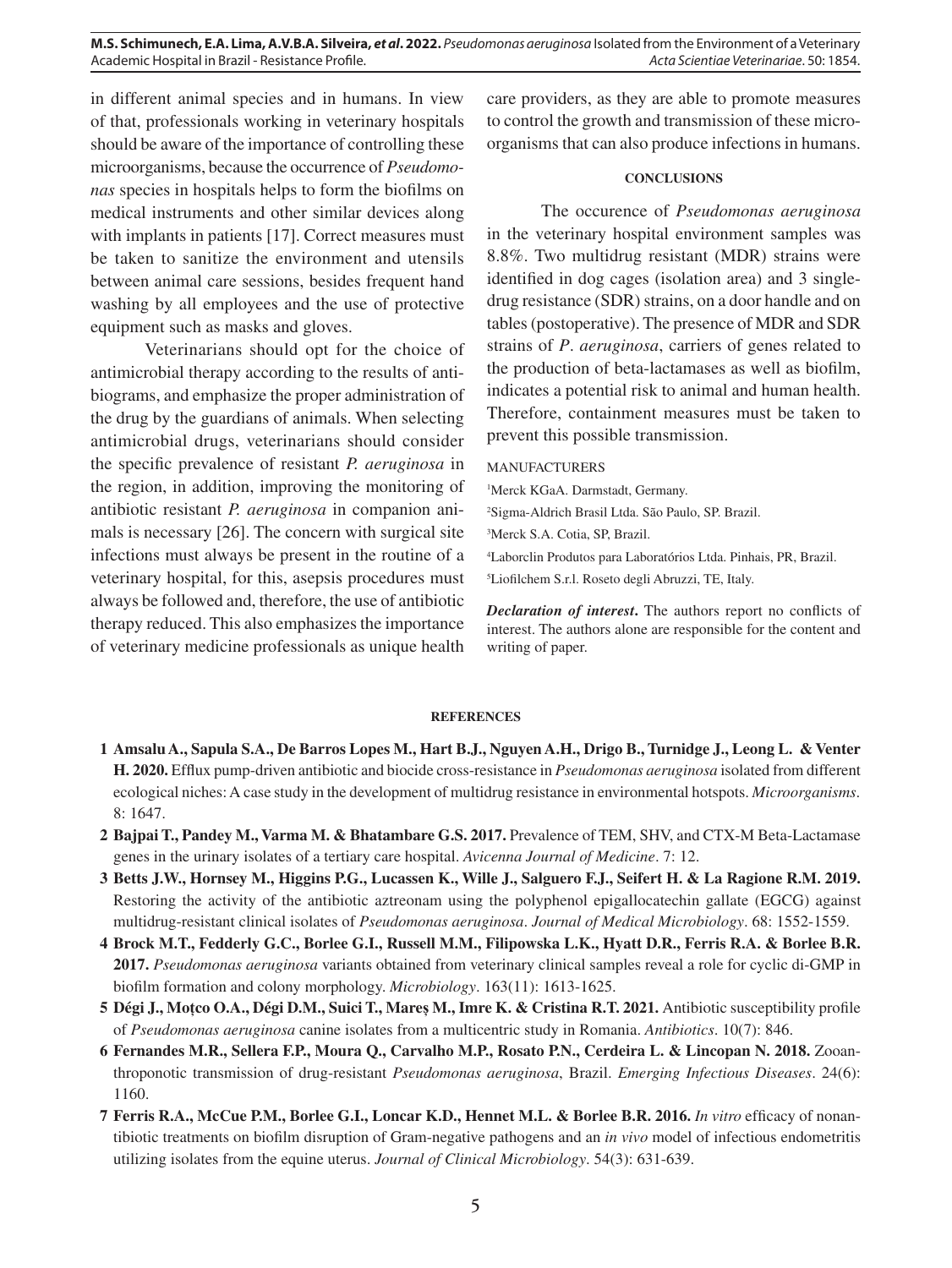**M.S. Schimunech, E.A. Lima, A.V.B.A. Silveira,** *et al***. 2022.** *Pseudomonas aeruginosa* Isolated from the Environment of a Veterinary Academic Hospital in Brazil - Resistance Profile. *Acta Scientiae Veterinariae*. 50: 1854.

in different animal species and in humans. In view of that, professionals working in veterinary hospitals should be aware of the importance of controlling these microorganisms, because the occurrence of *Pseudomonas* species in hospitals helps to form the biofilms on medical instruments and other similar devices along with implants in patients [17]. Correct measures must be taken to sanitize the environment and utensils between animal care sessions, besides frequent hand washing by all employees and the use of protective equipment such as masks and gloves.

Veterinarians should opt for the choice of antimicrobial therapy according to the results of antibiograms, and emphasize the proper administration of the drug by the guardians of animals. When selecting antimicrobial drugs, veterinarians should consider the specific prevalence of resistant *P. aeruginosa* in the region, in addition, improving the monitoring of antibiotic resistant *P. aeruginosa* in companion animals is necessary [26]. The concern with surgical site infections must always be present in the routine of a veterinary hospital, for this, asepsis procedures must always be followed and, therefore, the use of antibiotic therapy reduced. This also emphasizes the importance of veterinary medicine professionals as unique health

care providers, as they are able to promote measures to control the growth and transmission of these microorganisms that can also produce infections in humans.

### **CONCLUSIONS**

The occurence of *Pseudomonas aeruginosa* in the veterinary hospital environment samples was 8.8%. Two multidrug resistant (MDR) strains were identified in dog cages (isolation area) and 3 singledrug resistance (SDR) strains, on a door handle and on tables (postoperative). The presence of MDR and SDR strains of *P*. *aeruginosa*, carriers of genes related to the production of beta-lactamases as well as biofilm, indicates a potential risk to animal and human health. Therefore, containment measures must be taken to prevent this possible transmission.

### MANUFACTURERS

1 Merck KGaA. Darmstadt, Germany.

2 Sigma-Aldrich Brasil Ltda. São Paulo, SP. Brazil.

3 Merck S.A. Cotia, SP, Brazil.

4 Laborclin Produtos para Laboratórios Ltda. Pinhais, PR, Brazil.

5 Liofilchem S.r.l. Roseto degli Abruzzi, TE, Italy.

*Declaration of interest***.** The authors report no conflicts of interest. The authors alone are responsible for the content and writing of paper.

#### **REFERENCES**

- **1 Amsalu A., Sapula S.A., De Barros Lopes M., Hart B.J., Nguyen A.H., Drigo B., Turnidge J., Leong L. & Venter H. 2020.** Efflux pump-driven antibiotic and biocide cross-resistance in *Pseudomonas aeruginosa* isolated from different ecological niches: A case study in the development of multidrug resistance in environmental hotspots. *Microorganisms*. 8: 1647.
- **2 Bajpai T., Pandey M., Varma M. & Bhatambare G.S. 2017.** Prevalence of TEM, SHV, and CTX-M Beta-Lactamase genes in the urinary isolates of a tertiary care hospital. *Avicenna Journal of Medicine*. 7: 12.
- **3 Betts J.W., Hornsey M., Higgins P.G., Lucassen K., Wille J., Salguero F.J., Seifert H. & La Ragione R.M. 2019.** Restoring the activity of the antibiotic aztreonam using the polyphenol epigallocatechin gallate (EGCG) against multidrug-resistant clinical isolates of *Pseudomonas aeruginosa*. *Journal of Medical Microbiology*. 68: 1552-1559.
- **4 Brock M.T., Fedderly G.C., Borlee G.I., Russell M.M., Filipowska L.K., Hyatt D.R., Ferris R.A. & Borlee B.R. 2017.** *Pseudomonas aeruginosa* variants obtained from veterinary clinical samples reveal a role for cyclic di-GMP in biofilm formation and colony morphology. *Microbiology*. 163(11): 1613-1625.
- **5 Dégi J., Moțco O.A., Dégi D.M., Suici T., Mareș M., Imre K. & Cristina R.T. 2021.** Antibiotic susceptibility profile of *Pseudomonas aeruginosa* canine isolates from a multicentric study in Romania. *Antibiotics*. 10(7): 846.
- **6 Fernandes M.R., Sellera F.P., Moura Q., Carvalho M.P., Rosato P.N., Cerdeira L. & Lincopan N. 2018.** Zooanthroponotic transmission of drug-resistant *Pseudomonas aeruginosa*, Brazil. *Emerging Infectious Diseases*. 24(6): 1160.
- **7 Ferris R.A., McCue P.M., Borlee G.I., Loncar K.D., Hennet M.L. & Borlee B.R. 2016.** *In vitro* efficacy of nonantibiotic treatments on biofilm disruption of Gram-negative pathogens and an *in vivo* model of infectious endometritis utilizing isolates from the equine uterus. *Journal of Clinical Microbiology*. 54(3): 631-639.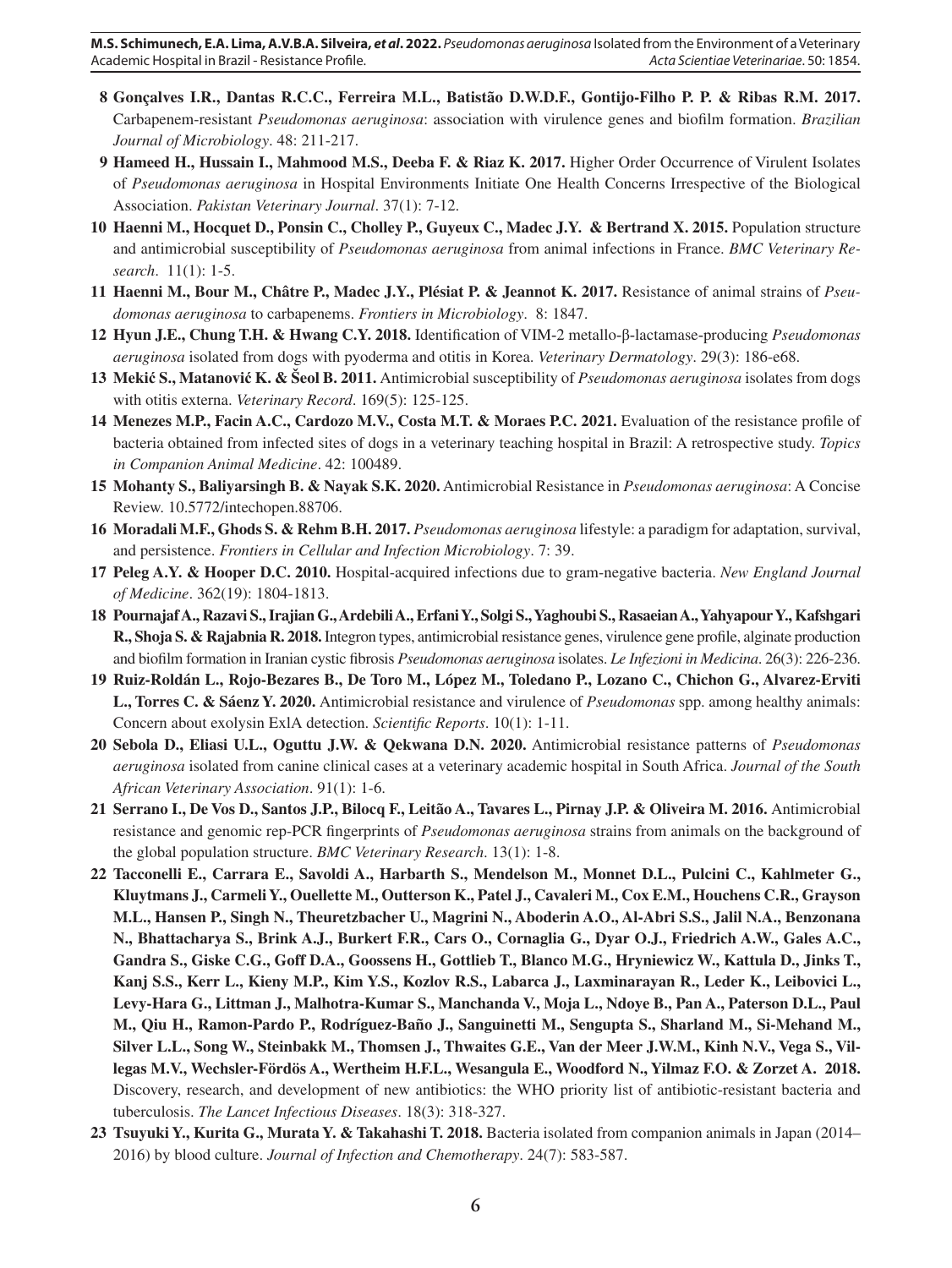- **8 Gonçalves I.R., Dantas R.C.C., Ferreira M.L., Batistão D.W.D.F., Gontijo-Filho P. P. & Ribas R.M. 2017.**  Carbapenem-resistant *Pseudomonas aeruginosa*: association with virulence genes and biofilm formation. *Brazilian Journal of Microbiology*. 48: 211-217.
- **9 Hameed H., Hussain I., Mahmood M.S., Deeba F. & Riaz K. 2017.** Higher Order Occurrence of Virulent Isolates of *Pseudomonas aeruginosa* in Hospital Environments Initiate One Health Concerns Irrespective of the Biological Association. *Pakistan Veterinary Journal*. 37(1): 7-12.
- **10 Haenni M., Hocquet D., Ponsin C., Cholley P., Guyeux C., Madec J.Y. & Bertrand X. 2015.** Population structure and antimicrobial susceptibility of *Pseudomonas aeruginosa* from animal infections in France. *BMC Veterinary Research*. 11(1): 1-5.
- **11 Haenni M., Bour M., Châtre P., Madec J.Y., Plésiat P. & Jeannot K. 2017.** Resistance of animal strains of *Pseudomonas aeruginosa* to carbapenems. *Frontiers in Microbiology*. 8: 1847.
- **12 Hyun J.E., Chung T.H. & Hwang C.Y. 2018.** Identification of VIM‐2 metallo‐β‐lactamase‐producing *Pseudomonas aeruginosa* isolated from dogs with pyoderma and otitis in Korea. *Veterinary Dermatology*. 29(3): 186-e68.
- **13 Mekić S., Matanović K. & Šeol B. 2011.** Antimicrobial susceptibility of *Pseudomonas aeruginosa* isolates from dogs with otitis externa. *Veterinary Record*. 169(5): 125-125.
- **14 Menezes M.P., Facin A.C., Cardozo M.V., Costa M.T. & Moraes P.C. 2021.** Evaluation of the resistance profile of bacteria obtained from infected sites of dogs in a veterinary teaching hospital in Brazil: A retrospective study. *Topics in Companion Animal Medicine*. 42: 100489.
- **15 Mohanty S., Baliyarsingh B. & Nayak S.K. 2020.** Antimicrobial Resistance in *Pseudomonas aeruginosa*: A Concise Review. 10.5772/intechopen.88706.
- **16 Moradali M.F., Ghods S. & Rehm B.H. 2017.** *Pseudomonas aeruginosa* lifestyle: a paradigm for adaptation, survival, and persistence. *Frontiers in Cellular and Infection Microbiology*. 7: 39.
- **17 Peleg A.Y. & Hooper D.C. 2010.** Hospital-acquired infections due to gram-negative bacteria. *New England Journal of Medicine*. 362(19): 1804-1813.
- **18 Pournajaf A., Razavi S., Irajian G., Ardebili A., Erfani Y., Solgi S., Yaghoubi S., Rasaeian A., Yahyapour Y., Kafshgari R., Shoja S. & Rajabnia R. 2018.** Integron types, antimicrobial resistance genes, virulence gene profile, alginate production and biofilm formation in Iranian cystic fibrosis *Pseudomonas aeruginosa* isolates. *Le Infezioni in Medicina*. 26(3): 226-236.
- **19 Ruiz-Roldán L., Rojo-Bezares B., De Toro M., López M., Toledano P., Lozano C., Chichon G., Alvarez-Erviti L., Torres C. & Sáenz Y. 2020.** Antimicrobial resistance and virulence of *Pseudomonas* spp. among healthy animals: Concern about exolysin ExlA detection. *Scientific Reports*. 10(1): 1-11.
- **20 Sebola D., Eliasi U.L., Oguttu J.W. & Qekwana D.N. 2020.** Antimicrobial resistance patterns of *Pseudomonas aeruginosa* isolated from canine clinical cases at a veterinary academic hospital in South Africa. *Journal of the South African Veterinary Association*. 91(1): 1-6.
- **21 Serrano I., De Vos D., Santos J.P., Bilocq F., Leitão A., Tavares L., Pirnay J.P. & Oliveira M. 2016.** Antimicrobial resistance and genomic rep-PCR fingerprints of *Pseudomonas aeruginosa* strains from animals on the background of the global population structure. *BMC Veterinary Research*. 13(1): 1-8.
- **22 Tacconelli E., Carrara E., Savoldi A., Harbarth S., Mendelson M., Monnet D.L., Pulcini C., Kahlmeter G., Kluytmans J., Carmeli Y., Ouellette M., Outterson K., Patel J., Cavaleri M., Cox E.M., Houchens C.R., Grayson M.L., Hansen P., Singh N., Theuretzbacher U., Magrini N., Aboderin A.O., Al-Abri S.S., Jalil N.A., Benzonana N., Bhattacharya S., Brink A.J., Burkert F.R., Cars O., Cornaglia G., Dyar O.J., Friedrich A.W., Gales A.C., Gandra S., Giske C.G., Goff D.A., Goossens H., Gottlieb T., Blanco M.G., Hryniewicz W., Kattula D., Jinks T., Kanj S.S., Kerr L., Kieny M.P., Kim Y.S., Kozlov R.S., Labarca J., Laxminarayan R., Leder K., Leibovici L., Levy-Hara G., Littman J., Malhotra-Kumar S., Manchanda V., Moja L., Ndoye B., Pan A., Paterson D.L., Paul M., Qiu H., Ramon-Pardo P., Rodríguez-Baño J., Sanguinetti M., Sengupta S., Sharland M., Si-Mehand M., Silver L.L., Song W., Steinbakk M., Thomsen J., Thwaites G.E., Van der Meer J.W.M., Kinh N.V., Vega S., Villegas M.V., Wechsler-Fördös A., Wertheim H.F.L., Wesangula E., Woodford N., Yilmaz F.O. & Zorzet A. 2018.**  Discovery, research, and development of new antibiotics: the WHO priority list of antibiotic-resistant bacteria and tuberculosis. *The Lancet Infectious Diseases*. 18(3): 318-327.
- **23 Tsuyuki Y., Kurita G., Murata Y. & Takahashi T. 2018.** Bacteria isolated from companion animals in Japan (2014– 2016) by blood culture. *Journal of Infection and Chemotherapy*. 24(7): 583-587.